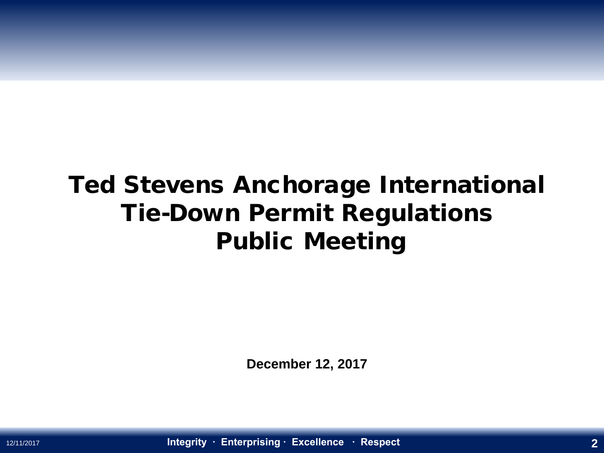### Ted Stevens Anchorage International Tie-Down Permit Regulations Public Meeting

**December 12, 2017**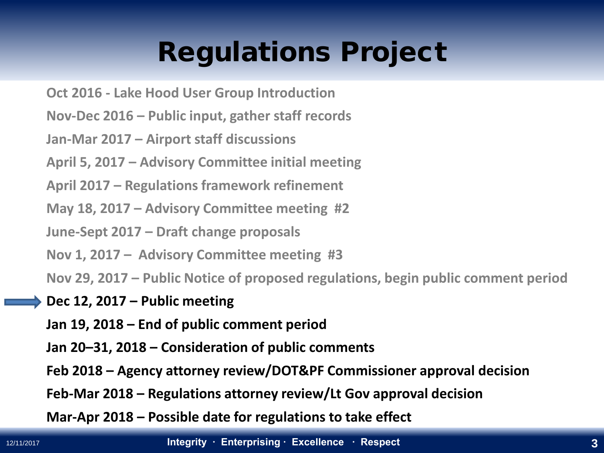### Regulations Project

- **Oct 2016 - Lake Hood User Group Introduction**
- **Nov-Dec 2016 – Public input, gather staff records**
- **Jan-Mar 2017 – Airport staff discussions**
- **April 5, 2017 – Advisory Committee initial meeting**
- **April 2017 – Regulations framework refinement**
- **May 18, 2017 – Advisory Committee meeting #2**
- **June-Sept 2017 – Draft change proposals**
- **Nov 1, 2017 – Advisory Committee meeting #3**
- **Nov 29, 2017 – Public Notice of proposed regulations, begin public comment period**
- **Dec 12, 2017 – Public meeting**
- **Jan 19, 2018 – End of public comment period**
- **Jan 20–31, 2018 – Consideration of public comments**
- **Feb 2018 – Agency attorney review/DOT&PF Commissioner approval decision**
- **Feb-Mar 2018 – Regulations attorney review/Lt Gov approval decision**
- **Mar-Apr 2018 – Possible date for regulations to take effect**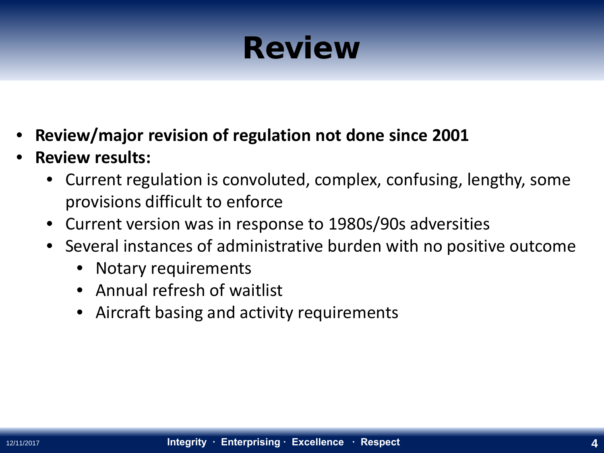### Review

- **Review/major revision of regulation not done since 2001**
- **Review results:**
	- Current regulation is convoluted, complex, confusing, lengthy, some provisions difficult to enforce
	- Current version was in response to 1980s/90s adversities
	- Several instances of administrative burden with no positive outcome
		- Notary requirements
		- Annual refresh of waitlist
		- Aircraft basing and activity requirements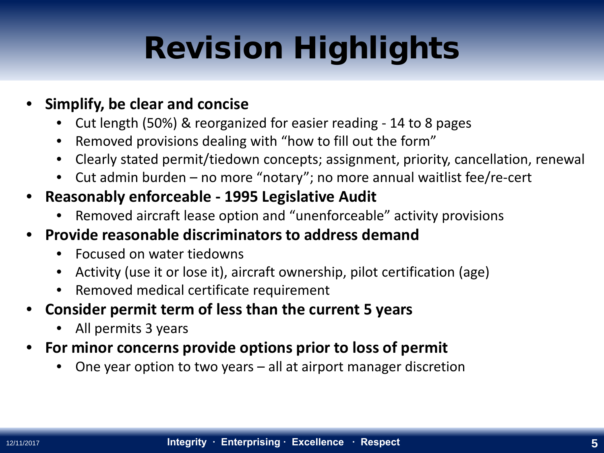### Revision Highlights

- **Simplify, be clear and concise** 
	- Cut length (50%) & reorganized for easier reading 14 to 8 pages
	- Removed provisions dealing with "how to fill out the form"
	- Clearly stated permit/tiedown concepts; assignment, priority, cancellation, renewal
	- Cut admin burden no more "notary"; no more annual waitlist fee/re-cert
- **Reasonably enforceable - 1995 Legislative Audit**
	- Removed aircraft lease option and "unenforceable" activity provisions
- **Provide reasonable discriminators to address demand**
	- Focused on water tiedowns
	- Activity (use it or lose it), aircraft ownership, pilot certification (age)
	- Removed medical certificate requirement
- **Consider permit term of less than the current 5 years**
	- All permits 3 years
- **For minor concerns provide options prior to loss of permit**
	- One year option to two years all at airport manager discretion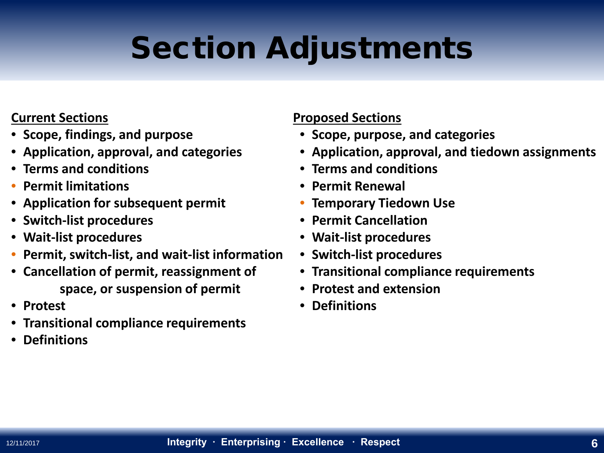### Section Adjustments

#### **Current Sections**

- **Scope, findings, and purpose**
- **Application, approval, and categories**
- **Terms and conditions**
- **Permit limitations**
- **Application for subsequent permit**
- **Switch-list procedures**
- **Wait-list procedures**
- **Permit, switch-list, and wait-list information**
- **Cancellation of permit, reassignment of space, or suspension of permit**
- **Protest**
- **Transitional compliance requirements**
- **Definitions**

#### **Proposed Sections**

- **Scope, purpose, and categories**
- **Application, approval, and tiedown assignments**
- **Terms and conditions**
- **Permit Renewal**
- **Temporary Tiedown Use**
- **Permit Cancellation**
- **Wait-list procedures**
- **Switch-list procedures**
- **Transitional compliance requirements**
- **Protest and extension**
- **Definitions**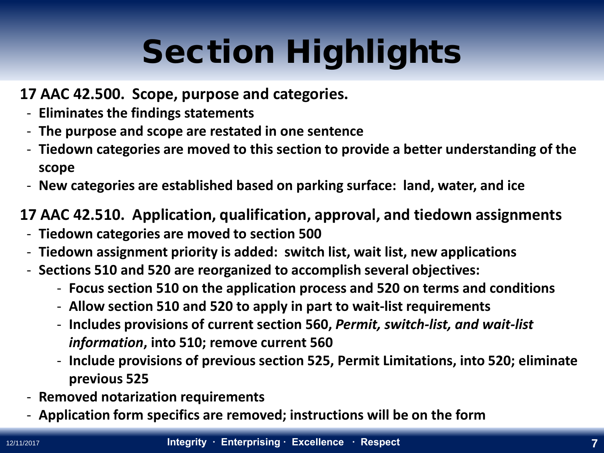#### **17 AAC 42.500. Scope, purpose and categories.**

- **Eliminates the findings statements**
- **The purpose and scope are restated in one sentence**
- **Tiedown categories are moved to this section to provide a better understanding of the scope**
- **New categories are established based on parking surface: land, water, and ice**

#### **17 AAC 42.510. Application, qualification, approval, and tiedown assignments**

- **Tiedown categories are moved to section 500**
- **Tiedown assignment priority is added: switch list, wait list, new applications**
- **Sections 510 and 520 are reorganized to accomplish several objectives:**
	- **Focus section 510 on the application process and 520 on terms and conditions**
	- **Allow section 510 and 520 to apply in part to wait-list requirements**
	- **Includes provisions of current section 560,** *Permit, switch-list, and wait-list information***, into 510; remove current 560**
	- **Include provisions of previous section 525, Permit Limitations, into 520; eliminate previous 525**
- **Removed notarization requirements**
- **Application form specifics are removed; instructions will be on the form**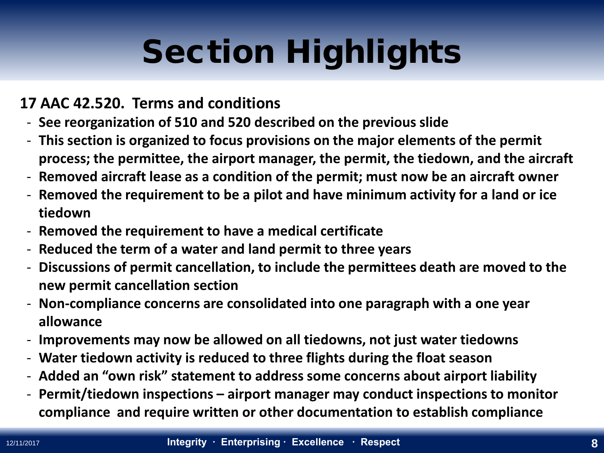#### **17 AAC 42.520. Terms and conditions**

- **See reorganization of 510 and 520 described on the previous slide**
- **This section is organized to focus provisions on the major elements of the permit process; the permittee, the airport manager, the permit, the tiedown, and the aircraft**
- **Removed aircraft lease as a condition of the permit; must now be an aircraft owner**
- **Removed the requirement to be a pilot and have minimum activity for a land or ice tiedown**
- **Removed the requirement to have a medical certificate**
- **Reduced the term of a water and land permit to three years**
- **Discussions of permit cancellation, to include the permittees death are moved to the new permit cancellation section**
- **Non-compliance concerns are consolidated into one paragraph with a one year allowance**
- **Improvements may now be allowed on all tiedowns, not just water tiedowns**
- **Water tiedown activity is reduced to three flights during the float season**
- **Added an "own risk" statement to address some concerns about airport liability**
- **Permit/tiedown inspections – airport manager may conduct inspections to monitor compliance and require written or other documentation to establish compliance**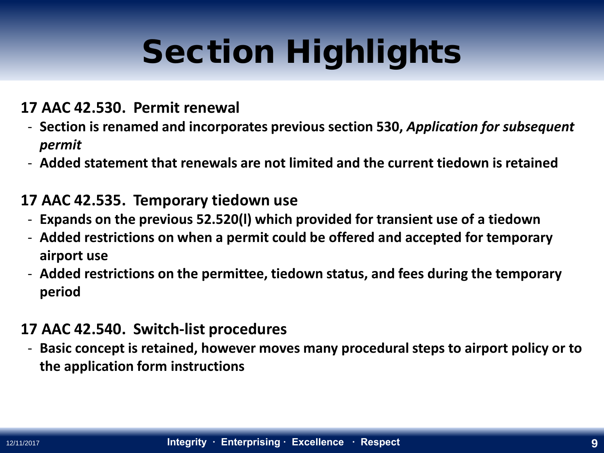#### **17 AAC 42.530. Permit renewal**

- **Section is renamed and incorporates previous section 530,** *Application for subsequent permit*
- **Added statement that renewals are not limited and the current tiedown is retained**

#### **17 AAC 42.535. Temporary tiedown use**

- **Expands on the previous 52.520(l) which provided for transient use of a tiedown**
- **Added restrictions on when a permit could be offered and accepted for temporary airport use**
- **Added restrictions on the permittee, tiedown status, and fees during the temporary period**

#### **17 AAC 42.540. Switch-list procedures**

- **Basic concept is retained, however moves many procedural steps to airport policy or to the application form instructions**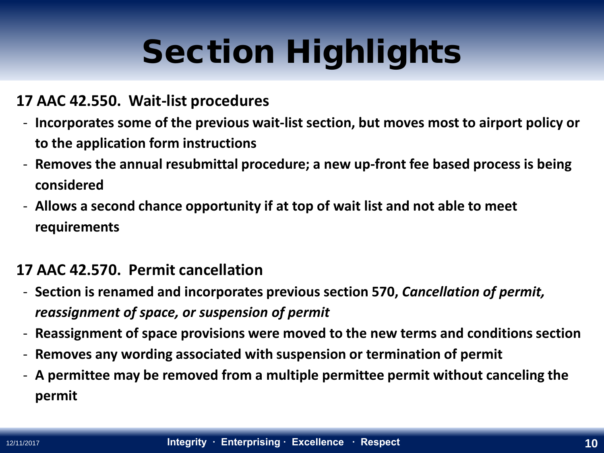#### **17 AAC 42.550. Wait-list procedures**

- **Incorporates some of the previous wait-list section, but moves most to airport policy or to the application form instructions**
- **Removes the annual resubmittal procedure; a new up-front fee based process is being considered**
- **Allows a second chance opportunity if at top of wait list and not able to meet requirements**

#### **17 AAC 42.570. Permit cancellation**

- **Section is renamed and incorporates previous section 570,** *Cancellation of permit, reassignment of space, or suspension of permit*
- **Reassignment of space provisions were moved to the new terms and conditions section**
- **Removes any wording associated with suspension or termination of permit**
- **A permittee may be removed from a multiple permittee permit without canceling the permit**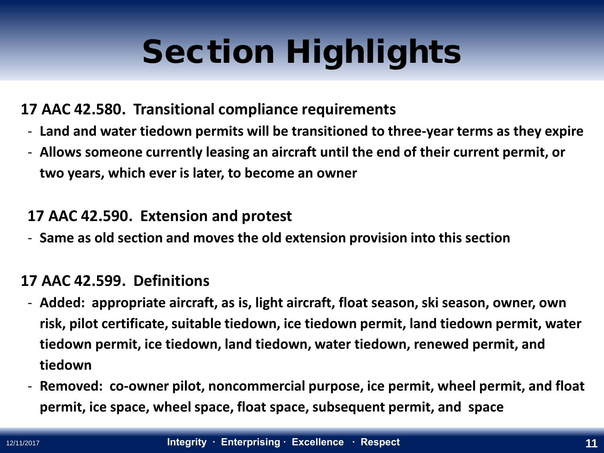#### **17 AAC 42.580. Transitional compliance requirements**

- **Land and water tiedown permits will be transitioned to three-year terms as they expire**
- **Allows someone currently leasing an aircraft until the end of their current permit, or two years, which ever is later, to become an owner**

#### **17 AAC 42.590. Extension and protest**

- **Same as old section and moves the old extension provision into this section**

#### **17 AAC 42.599. Definitions**

- **Added: appropriate aircraft, as is, light aircraft, float season, ski season, owner, own risk, pilot certificate, suitable tiedown, ice tiedown permit, land tiedown permit, water tiedown permit, ice tiedown, land tiedown, water tiedown, renewed permit, and tiedown**
- **Removed: co-owner pilot, noncommercial purpose, ice permit, wheel permit, and float permit, ice space, wheel space, float space, subsequent permit, and space**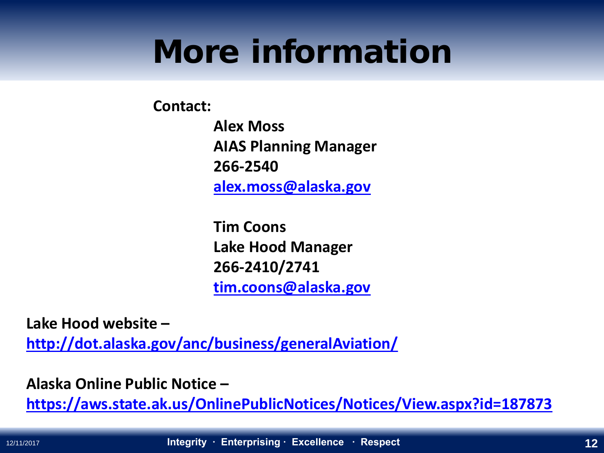### More information

**Contact:**

**Alex Moss AIAS Planning Manager 266-2540 [alex.moss@alaska.gov](mailto:alex.moss@alaska.gov)**

**Tim Coons Lake Hood Manager 266-2410/2741 [tim.coons@alaska.gov](mailto:tim.coons@alaska.gov)**

**Lake Hood website –**

**<http://dot.alaska.gov/anc/business/generalAviation/>**

**Alaska Online Public Notice –**

**<https://aws.state.ak.us/OnlinePublicNotices/Notices/View.aspx?id=187873>**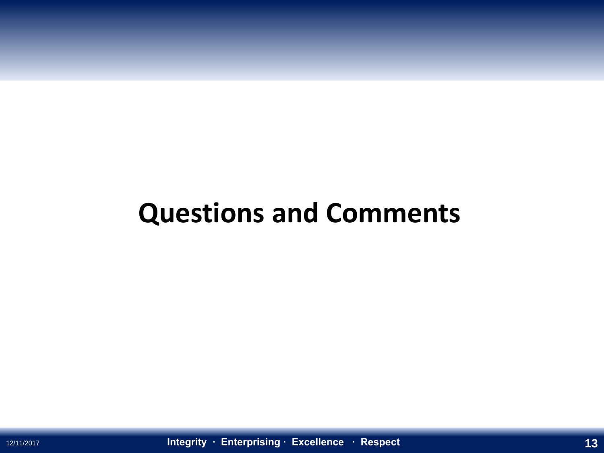### **Questions and Comments**